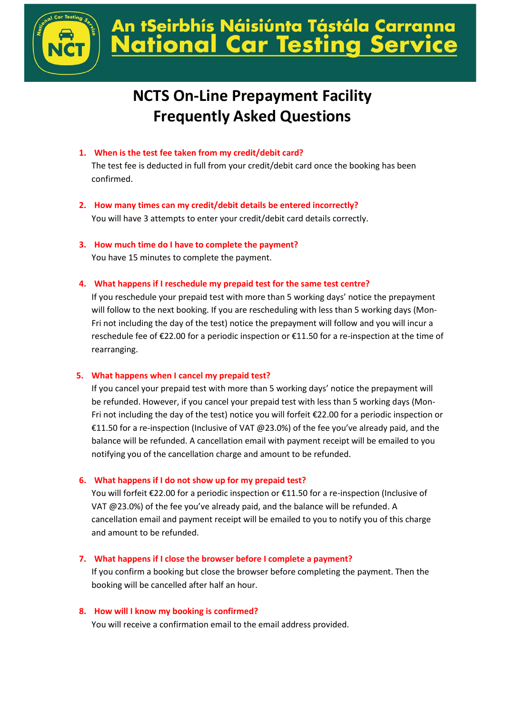

## tSeirbhís Náisiúnta Tástála Carranna **Car Testing Serv onal**

# **NCTS On-Line Prepayment Facility Frequently Asked Questions**

**1. When is the test fee taken from my credit/debit card?**

The test fee is deducted in full from your credit/debit card once the booking has been confirmed.

- **2. How many times can my credit/debit details be entered incorrectly?** You will have 3 attempts to enter your credit/debit card details correctly.
- **3. How much time do I have to complete the payment?**

You have 15 minutes to complete the payment.

**4. What happens if I reschedule my prepaid test for the same test centre?**

If you reschedule your prepaid test with more than 5 working days' notice the prepayment will follow to the next booking. If you are rescheduling with less than 5 working days (Mon-Fri not including the day of the test) notice the prepayment will follow and you will incur a reschedule fee of €22.00 for a periodic inspection or €11.50 for a re-inspection at the time of rearranging.

### **5. What happens when I cancel my prepaid test?**

If you cancel your prepaid test with more than 5 working days' notice the prepayment will be refunded. However, if you cancel your prepaid test with less than 5 working days (Mon-Fri not including the day of the test) notice you will forfeit €22.00 for a periodic inspection or €11.50 for a re-inspection (Inclusive of VAT @23.0%) of the fee you've already paid, and the balance will be refunded. A cancellation email with payment receipt will be emailed to you notifying you of the cancellation charge and amount to be refunded.

### **6. What happens if I do not show up for my prepaid test?**

You will forfeit €22.00 for a periodic inspection or €11.50 for a re-inspection (Inclusive of VAT @23.0%) of the fee you've already paid, and the balance will be refunded. A cancellation email and payment receipt will be emailed to you to notify you of this charge and amount to be refunded.

### **7. What happens if I close the browser before I complete a payment?**

If you confirm a booking but close the browser before completing the payment. Then the booking will be cancelled after half an hour.

#### **8. How will I know my booking is confirmed?**

You will receive a confirmation email to the email address provided.